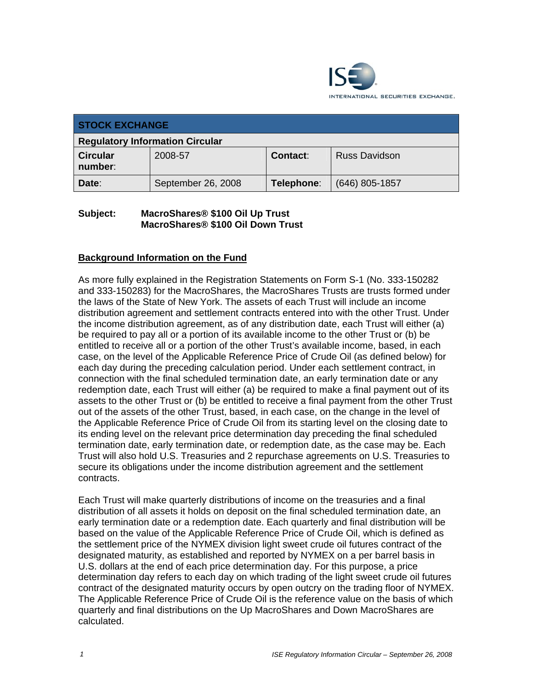

| <b>STOCK EXCHANGE</b>                  |                    |                 |                      |  |  |
|----------------------------------------|--------------------|-----------------|----------------------|--|--|
| <b>Regulatory Information Circular</b> |                    |                 |                      |  |  |
| <b>Circular</b><br>number:             | 2008-57            | <b>Contact:</b> | <b>Russ Davidson</b> |  |  |
| Date:                                  | September 26, 2008 | Telephone:      | $(646)$ 805-1857     |  |  |

### **Subject: MacroShares® \$100 Oil Up Trust MacroShares® \$100 Oil Down Trust**

### **Background Information on the Fund**

As more fully explained in the Registration Statements on Form S-1 (No. 333-150282 and 333-150283) for the MacroShares, the MacroShares Trusts are trusts formed under the laws of the State of New York. The assets of each Trust will include an income distribution agreement and settlement contracts entered into with the other Trust. Under the income distribution agreement, as of any distribution date, each Trust will either (a) be required to pay all or a portion of its available income to the other Trust or (b) be entitled to receive all or a portion of the other Trust's available income, based, in each case, on the level of the Applicable Reference Price of Crude Oil (as defined below) for each day during the preceding calculation period. Under each settlement contract, in connection with the final scheduled termination date, an early termination date or any redemption date, each Trust will either (a) be required to make a final payment out of its assets to the other Trust or (b) be entitled to receive a final payment from the other Trust out of the assets of the other Trust, based, in each case, on the change in the level of the Applicable Reference Price of Crude Oil from its starting level on the closing date to its ending level on the relevant price determination day preceding the final scheduled termination date, early termination date, or redemption date, as the case may be. Each Trust will also hold U.S. Treasuries and 2 repurchase agreements on U.S. Treasuries to secure its obligations under the income distribution agreement and the settlement contracts.

Each Trust will make quarterly distributions of income on the treasuries and a final distribution of all assets it holds on deposit on the final scheduled termination date, an early termination date or a redemption date. Each quarterly and final distribution will be based on the value of the Applicable Reference Price of Crude Oil, which is defined as the settlement price of the NYMEX division light sweet crude oil futures contract of the designated maturity, as established and reported by NYMEX on a per barrel basis in U.S. dollars at the end of each price determination day. For this purpose, a price determination day refers to each day on which trading of the light sweet crude oil futures contract of the designated maturity occurs by open outcry on the trading floor of NYMEX. The Applicable Reference Price of Crude Oil is the reference value on the basis of which quarterly and final distributions on the Up MacroShares and Down MacroShares are calculated.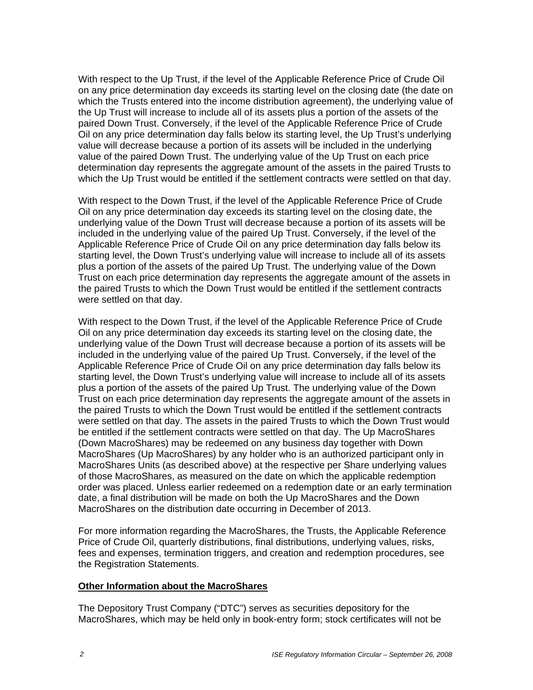With respect to the Up Trust, if the level of the Applicable Reference Price of Crude Oil on any price determination day exceeds its starting level on the closing date (the date on which the Trusts entered into the income distribution agreement), the underlying value of the Up Trust will increase to include all of its assets plus a portion of the assets of the paired Down Trust. Conversely, if the level of the Applicable Reference Price of Crude Oil on any price determination day falls below its starting level, the Up Trust's underlying value will decrease because a portion of its assets will be included in the underlying value of the paired Down Trust. The underlying value of the Up Trust on each price determination day represents the aggregate amount of the assets in the paired Trusts to which the Up Trust would be entitled if the settlement contracts were settled on that day.

With respect to the Down Trust, if the level of the Applicable Reference Price of Crude Oil on any price determination day exceeds its starting level on the closing date, the underlying value of the Down Trust will decrease because a portion of its assets will be included in the underlying value of the paired Up Trust. Conversely, if the level of the Applicable Reference Price of Crude Oil on any price determination day falls below its starting level, the Down Trust's underlying value will increase to include all of its assets plus a portion of the assets of the paired Up Trust. The underlying value of the Down Trust on each price determination day represents the aggregate amount of the assets in the paired Trusts to which the Down Trust would be entitled if the settlement contracts were settled on that day.

With respect to the Down Trust, if the level of the Applicable Reference Price of Crude Oil on any price determination day exceeds its starting level on the closing date, the underlying value of the Down Trust will decrease because a portion of its assets will be included in the underlying value of the paired Up Trust. Conversely, if the level of the Applicable Reference Price of Crude Oil on any price determination day falls below its starting level, the Down Trust's underlying value will increase to include all of its assets plus a portion of the assets of the paired Up Trust. The underlying value of the Down Trust on each price determination day represents the aggregate amount of the assets in the paired Trusts to which the Down Trust would be entitled if the settlement contracts were settled on that day. The assets in the paired Trusts to which the Down Trust would be entitled if the settlement contracts were settled on that day. The Up MacroShares (Down MacroShares) may be redeemed on any business day together with Down MacroShares (Up MacroShares) by any holder who is an authorized participant only in MacroShares Units (as described above) at the respective per Share underlying values of those MacroShares, as measured on the date on which the applicable redemption order was placed. Unless earlier redeemed on a redemption date or an early termination date, a final distribution will be made on both the Up MacroShares and the Down MacroShares on the distribution date occurring in December of 2013.

For more information regarding the MacroShares, the Trusts, the Applicable Reference Price of Crude Oil, quarterly distributions, final distributions, underlying values, risks, fees and expenses, termination triggers, and creation and redemption procedures, see the Registration Statements.

#### **Other Information about the MacroShares**

The Depository Trust Company ("DTC") serves as securities depository for the MacroShares, which may be held only in book-entry form; stock certificates will not be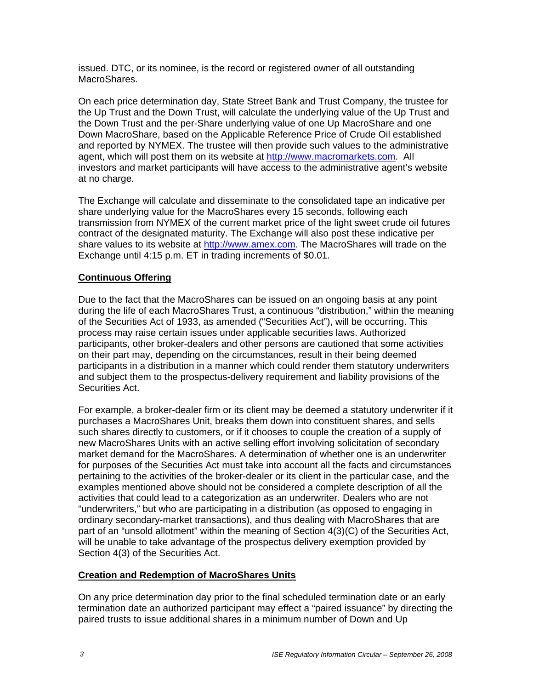issued. DTC, or its nominee, is the record or registered owner of all outstanding MacroShares.

On each price determination day, State Street Bank and Trust Company, the trustee for the Up Trust and the Down Trust, will calculate the underlying value of the Up Trust and the Down Trust and the per-Share underlying value of one Up MacroShare and one Down MacroShare, based on the Applicable Reference Price of Crude Oil established and reported by NYMEX. The trustee will then provide such values to the administrative agent, which will post them on its website at http://www.macromarkets.com. All investors and market participants will have access to the administrative agent's website at no charge.

The Exchange will calculate and disseminate to the consolidated tape an indicative per share underlying value for the MacroShares every 15 seconds, following each transmission from NYMEX of the current market price of the light sweet crude oil futures contract of the designated maturity. The Exchange will also post these indicative per share values to its website at http://www.amex.com. The MacroShares will trade on the Exchange until 4:15 p.m. ET in trading increments of \$0.01.

#### **Continuous Offering**

Due to the fact that the MacroShares can be issued on an ongoing basis at any point during the life of each MacroShares Trust, a continuous "distribution," within the meaning of the Securities Act of 1933, as amended ("Securities Act"), will be occurring. This process may raise certain issues under applicable securities laws. Authorized participants, other broker-dealers and other persons are cautioned that some activities on their part may, depending on the circumstances, result in their being deemed participants in a distribution in a manner which could render them statutory underwriters and subject them to the prospectus-delivery requirement and liability provisions of the Securities Act.

For example, a broker-dealer firm or its client may be deemed a statutory underwriter if it purchases a MacroShares Unit, breaks them down into constituent shares, and sells such shares directly to customers, or if it chooses to couple the creation of a supply of new MacroShares Units with an active selling effort involving solicitation of secondary market demand for the MacroShares. A determination of whether one is an underwriter for purposes of the Securities Act must take into account all the facts and circumstances pertaining to the activities of the broker-dealer or its client in the particular case, and the examples mentioned above should not be considered a complete description of all the activities that could lead to a categorization as an underwriter. Dealers who are not "underwriters," but who are participating in a distribution (as opposed to engaging in ordinary secondary-market transactions), and thus dealing with MacroShares that are part of an "unsold allotment" within the meaning of Section 4(3)(C) of the Securities Act, will be unable to take advantage of the prospectus delivery exemption provided by Section 4(3) of the Securities Act.

#### **Creation and Redemption of MacroShares Units**

On any price determination day prior to the final scheduled termination date or an early termination date an authorized participant may effect a "paired issuance" by directing the paired trusts to issue additional shares in a minimum number of Down and Up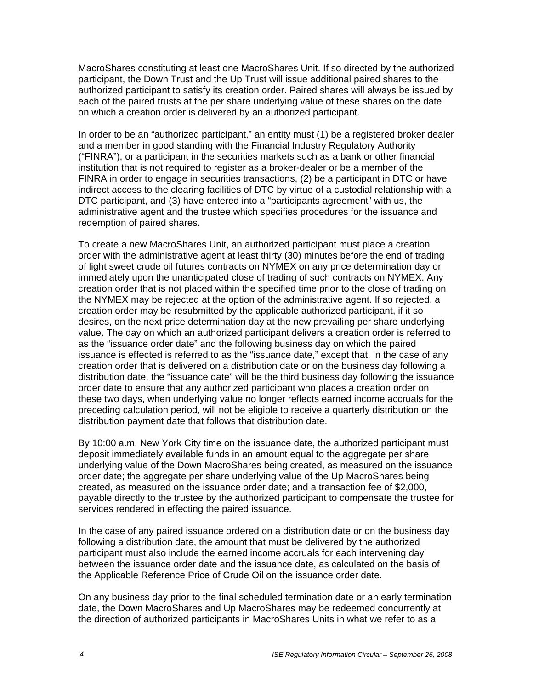MacroShares constituting at least one MacroShares Unit. If so directed by the authorized participant, the Down Trust and the Up Trust will issue additional paired shares to the authorized participant to satisfy its creation order. Paired shares will always be issued by each of the paired trusts at the per share underlying value of these shares on the date on which a creation order is delivered by an authorized participant.

In order to be an "authorized participant," an entity must (1) be a registered broker dealer and a member in good standing with the Financial Industry Regulatory Authority ("FINRA"), or a participant in the securities markets such as a bank or other financial institution that is not required to register as a broker-dealer or be a member of the FINRA in order to engage in securities transactions, (2) be a participant in DTC or have indirect access to the clearing facilities of DTC by virtue of a custodial relationship with a DTC participant, and (3) have entered into a "participants agreement" with us, the administrative agent and the trustee which specifies procedures for the issuance and redemption of paired shares.

To create a new MacroShares Unit, an authorized participant must place a creation order with the administrative agent at least thirty (30) minutes before the end of trading of light sweet crude oil futures contracts on NYMEX on any price determination day or immediately upon the unanticipated close of trading of such contracts on NYMEX. Any creation order that is not placed within the specified time prior to the close of trading on the NYMEX may be rejected at the option of the administrative agent. If so rejected, a creation order may be resubmitted by the applicable authorized participant, if it so desires, on the next price determination day at the new prevailing per share underlying value. The day on which an authorized participant delivers a creation order is referred to as the "issuance order date" and the following business day on which the paired issuance is effected is referred to as the "issuance date," except that, in the case of any creation order that is delivered on a distribution date or on the business day following a distribution date, the "issuance date" will be the third business day following the issuance order date to ensure that any authorized participant who places a creation order on these two days, when underlying value no longer reflects earned income accruals for the preceding calculation period, will not be eligible to receive a quarterly distribution on the distribution payment date that follows that distribution date.

By 10:00 a.m. New York City time on the issuance date, the authorized participant must deposit immediately available funds in an amount equal to the aggregate per share underlying value of the Down MacroShares being created, as measured on the issuance order date; the aggregate per share underlying value of the Up MacroShares being created, as measured on the issuance order date; and a transaction fee of \$2,000, payable directly to the trustee by the authorized participant to compensate the trustee for services rendered in effecting the paired issuance.

In the case of any paired issuance ordered on a distribution date or on the business day following a distribution date, the amount that must be delivered by the authorized participant must also include the earned income accruals for each intervening day between the issuance order date and the issuance date, as calculated on the basis of the Applicable Reference Price of Crude Oil on the issuance order date.

On any business day prior to the final scheduled termination date or an early termination date, the Down MacroShares and Up MacroShares may be redeemed concurrently at the direction of authorized participants in MacroShares Units in what we refer to as a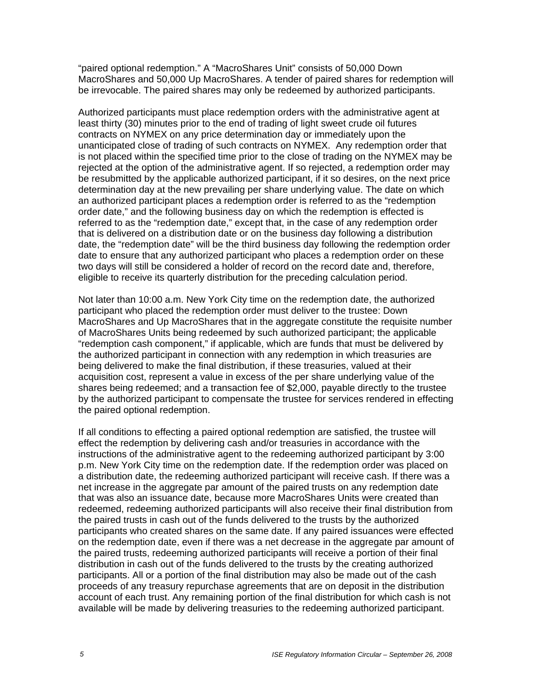"paired optional redemption." A "MacroShares Unit" consists of 50,000 Down MacroShares and 50,000 Up MacroShares. A tender of paired shares for redemption will be irrevocable. The paired shares may only be redeemed by authorized participants.

Authorized participants must place redemption orders with the administrative agent at least thirty (30) minutes prior to the end of trading of light sweet crude oil futures contracts on NYMEX on any price determination day or immediately upon the unanticipated close of trading of such contracts on NYMEX. Any redemption order that is not placed within the specified time prior to the close of trading on the NYMEX may be rejected at the option of the administrative agent. If so rejected, a redemption order may be resubmitted by the applicable authorized participant, if it so desires, on the next price determination day at the new prevailing per share underlying value. The date on which an authorized participant places a redemption order is referred to as the "redemption order date," and the following business day on which the redemption is effected is referred to as the "redemption date," except that, in the case of any redemption order that is delivered on a distribution date or on the business day following a distribution date, the "redemption date" will be the third business day following the redemption order date to ensure that any authorized participant who places a redemption order on these two days will still be considered a holder of record on the record date and, therefore, eligible to receive its quarterly distribution for the preceding calculation period.

Not later than 10:00 a.m. New York City time on the redemption date, the authorized participant who placed the redemption order must deliver to the trustee: Down MacroShares and Up MacroShares that in the aggregate constitute the requisite number of MacroShares Units being redeemed by such authorized participant; the applicable "redemption cash component," if applicable, which are funds that must be delivered by the authorized participant in connection with any redemption in which treasuries are being delivered to make the final distribution, if these treasuries, valued at their acquisition cost, represent a value in excess of the per share underlying value of the shares being redeemed; and a transaction fee of \$2,000, payable directly to the trustee by the authorized participant to compensate the trustee for services rendered in effecting the paired optional redemption.

If all conditions to effecting a paired optional redemption are satisfied, the trustee will effect the redemption by delivering cash and/or treasuries in accordance with the instructions of the administrative agent to the redeeming authorized participant by 3:00 p.m. New York City time on the redemption date. If the redemption order was placed on a distribution date, the redeeming authorized participant will receive cash. If there was a net increase in the aggregate par amount of the paired trusts on any redemption date that was also an issuance date, because more MacroShares Units were created than redeemed, redeeming authorized participants will also receive their final distribution from the paired trusts in cash out of the funds delivered to the trusts by the authorized participants who created shares on the same date. If any paired issuances were effected on the redemption date, even if there was a net decrease in the aggregate par amount of the paired trusts, redeeming authorized participants will receive a portion of their final distribution in cash out of the funds delivered to the trusts by the creating authorized participants. All or a portion of the final distribution may also be made out of the cash proceeds of any treasury repurchase agreements that are on deposit in the distribution account of each trust. Any remaining portion of the final distribution for which cash is not available will be made by delivering treasuries to the redeeming authorized participant.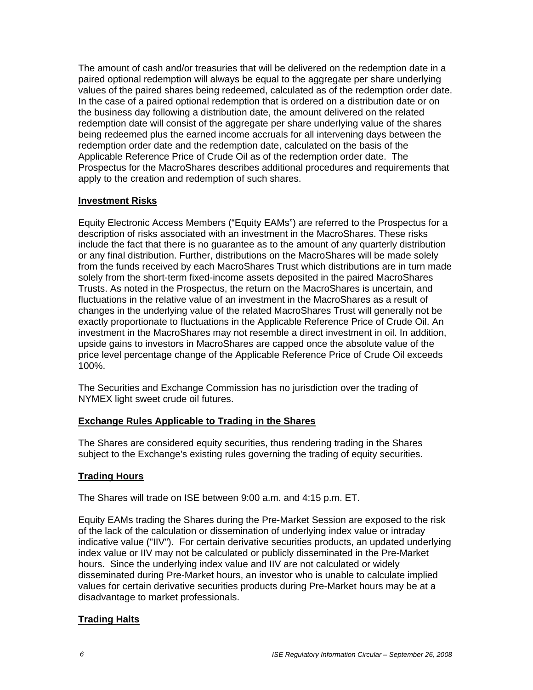The amount of cash and/or treasuries that will be delivered on the redemption date in a paired optional redemption will always be equal to the aggregate per share underlying values of the paired shares being redeemed, calculated as of the redemption order date. In the case of a paired optional redemption that is ordered on a distribution date or on the business day following a distribution date, the amount delivered on the related redemption date will consist of the aggregate per share underlying value of the shares being redeemed plus the earned income accruals for all intervening days between the redemption order date and the redemption date, calculated on the basis of the Applicable Reference Price of Crude Oil as of the redemption order date. The Prospectus for the MacroShares describes additional procedures and requirements that apply to the creation and redemption of such shares.

#### **Investment Risks**

Equity Electronic Access Members ("Equity EAMs") are referred to the Prospectus for a description of risks associated with an investment in the MacroShares. These risks include the fact that there is no guarantee as to the amount of any quarterly distribution or any final distribution. Further, distributions on the MacroShares will be made solely from the funds received by each MacroShares Trust which distributions are in turn made solely from the short-term fixed-income assets deposited in the paired MacroShares Trusts. As noted in the Prospectus, the return on the MacroShares is uncertain, and fluctuations in the relative value of an investment in the MacroShares as a result of changes in the underlying value of the related MacroShares Trust will generally not be exactly proportionate to fluctuations in the Applicable Reference Price of Crude Oil. An investment in the MacroShares may not resemble a direct investment in oil. In addition, upside gains to investors in MacroShares are capped once the absolute value of the price level percentage change of the Applicable Reference Price of Crude Oil exceeds 100%.

The Securities and Exchange Commission has no jurisdiction over the trading of NYMEX light sweet crude oil futures.

# **Exchange Rules Applicable to Trading in the Shares**

The Shares are considered equity securities, thus rendering trading in the Shares subject to the Exchange's existing rules governing the trading of equity securities.

# **Trading Hours**

The Shares will trade on ISE between 9:00 a.m. and 4:15 p.m. ET.

Equity EAMs trading the Shares during the Pre-Market Session are exposed to the risk of the lack of the calculation or dissemination of underlying index value or intraday indicative value ("IIV"). For certain derivative securities products, an updated underlying index value or IIV may not be calculated or publicly disseminated in the Pre-Market hours. Since the underlying index value and IIV are not calculated or widely disseminated during Pre-Market hours, an investor who is unable to calculate implied values for certain derivative securities products during Pre-Market hours may be at a disadvantage to market professionals.

# **Trading Halts**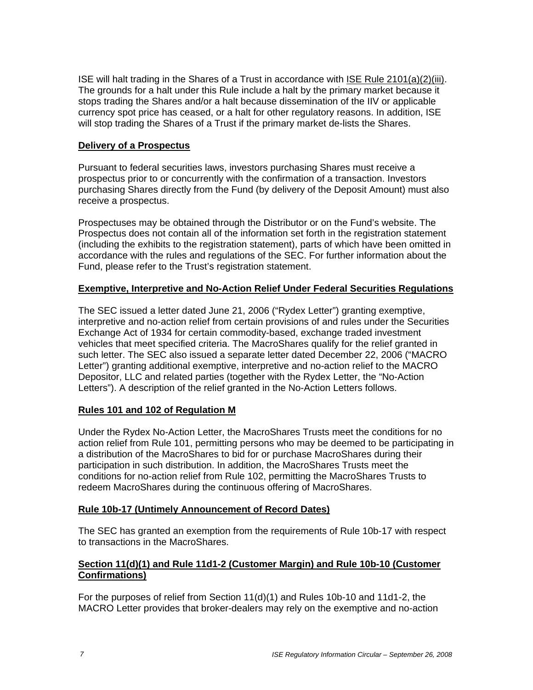ISE will halt trading in the Shares of a Trust in accordance with ISE Rule 2101(a)(2)(iii). The grounds for a halt under this Rule include a halt by the primary market because it stops trading the Shares and/or a halt because dissemination of the IIV or applicable currency spot price has ceased, or a halt for other regulatory reasons. In addition, ISE will stop trading the Shares of a Trust if the primary market de-lists the Shares.

### **Delivery of a Prospectus**

Pursuant to federal securities laws, investors purchasing Shares must receive a prospectus prior to or concurrently with the confirmation of a transaction. Investors purchasing Shares directly from the Fund (by delivery of the Deposit Amount) must also receive a prospectus.

Prospectuses may be obtained through the Distributor or on the Fund's website. The Prospectus does not contain all of the information set forth in the registration statement (including the exhibits to the registration statement), parts of which have been omitted in accordance with the rules and regulations of the SEC. For further information about the Fund, please refer to the Trust's registration statement.

#### **Exemptive, Interpretive and No-Action Relief Under Federal Securities Regulations**

The SEC issued a letter dated June 21, 2006 ("Rydex Letter") granting exemptive, interpretive and no-action relief from certain provisions of and rules under the Securities Exchange Act of 1934 for certain commodity-based, exchange traded investment vehicles that meet specified criteria. The MacroShares qualify for the relief granted in such letter. The SEC also issued a separate letter dated December 22, 2006 ("MACRO Letter") granting additional exemptive, interpretive and no-action relief to the MACRO Depositor, LLC and related parties (together with the Rydex Letter, the "No-Action Letters"). A description of the relief granted in the No-Action Letters follows.

# **Rules 101 and 102 of Regulation M**

Under the Rydex No-Action Letter, the MacroShares Trusts meet the conditions for no action relief from Rule 101, permitting persons who may be deemed to be participating in a distribution of the MacroShares to bid for or purchase MacroShares during their participation in such distribution. In addition, the MacroShares Trusts meet the conditions for no-action relief from Rule 102, permitting the MacroShares Trusts to redeem MacroShares during the continuous offering of MacroShares.

# **Rule 10b-17 (Untimely Announcement of Record Dates)**

The SEC has granted an exemption from the requirements of Rule 10b-17 with respect to transactions in the MacroShares.

### **Section 11(d)(1) and Rule 11d1-2 (Customer Margin) and Rule 10b-10 (Customer Confirmations)**

For the purposes of relief from Section 11(d)(1) and Rules 10b-10 and 11d1-2, the MACRO Letter provides that broker-dealers may rely on the exemptive and no-action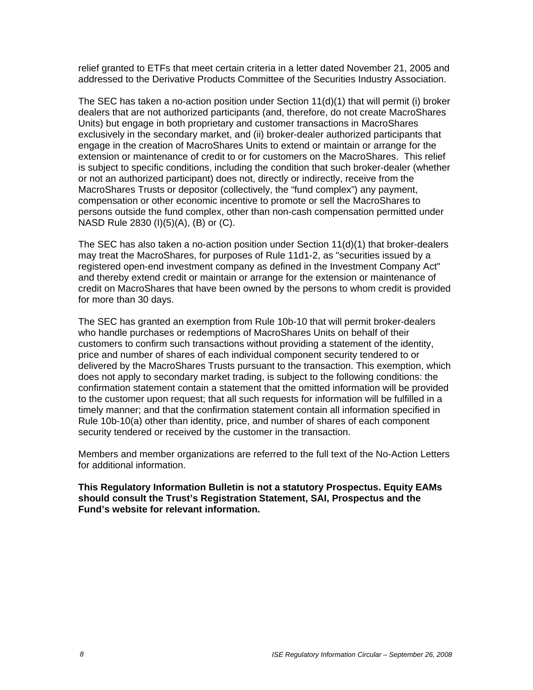relief granted to ETFs that meet certain criteria in a letter dated November 21, 2005 and addressed to the Derivative Products Committee of the Securities Industry Association.

The SEC has taken a no-action position under Section 11(d)(1) that will permit (i) broker dealers that are not authorized participants (and, therefore, do not create MacroShares Units) but engage in both proprietary and customer transactions in MacroShares exclusively in the secondary market, and (ii) broker-dealer authorized participants that engage in the creation of MacroShares Units to extend or maintain or arrange for the extension or maintenance of credit to or for customers on the MacroShares. This relief is subject to specific conditions, including the condition that such broker-dealer (whether or not an authorized participant) does not, directly or indirectly, receive from the MacroShares Trusts or depositor (collectively, the "fund complex") any payment, compensation or other economic incentive to promote or sell the MacroShares to persons outside the fund complex, other than non-cash compensation permitted under NASD Rule 2830 (I)(5)(A), (B) or (C).

The SEC has also taken a no-action position under Section 11(d)(1) that broker-dealers may treat the MacroShares, for purposes of Rule 11d1-2, as "securities issued by a registered open-end investment company as defined in the Investment Company Act" and thereby extend credit or maintain or arrange for the extension or maintenance of credit on MacroShares that have been owned by the persons to whom credit is provided for more than 30 days.

The SEC has granted an exemption from Rule 10b-10 that will permit broker-dealers who handle purchases or redemptions of MacroShares Units on behalf of their customers to confirm such transactions without providing a statement of the identity, price and number of shares of each individual component security tendered to or delivered by the MacroShares Trusts pursuant to the transaction. This exemption, which does not apply to secondary market trading, is subject to the following conditions: the confirmation statement contain a statement that the omitted information will be provided to the customer upon request; that all such requests for information will be fulfilled in a timely manner; and that the confirmation statement contain all information specified in Rule 10b-10(a) other than identity, price, and number of shares of each component security tendered or received by the customer in the transaction.

Members and member organizations are referred to the full text of the No-Action Letters for additional information.

**This Regulatory Information Bulletin is not a statutory Prospectus. Equity EAMs should consult the Trust's Registration Statement, SAI, Prospectus and the Fund's website for relevant information.**